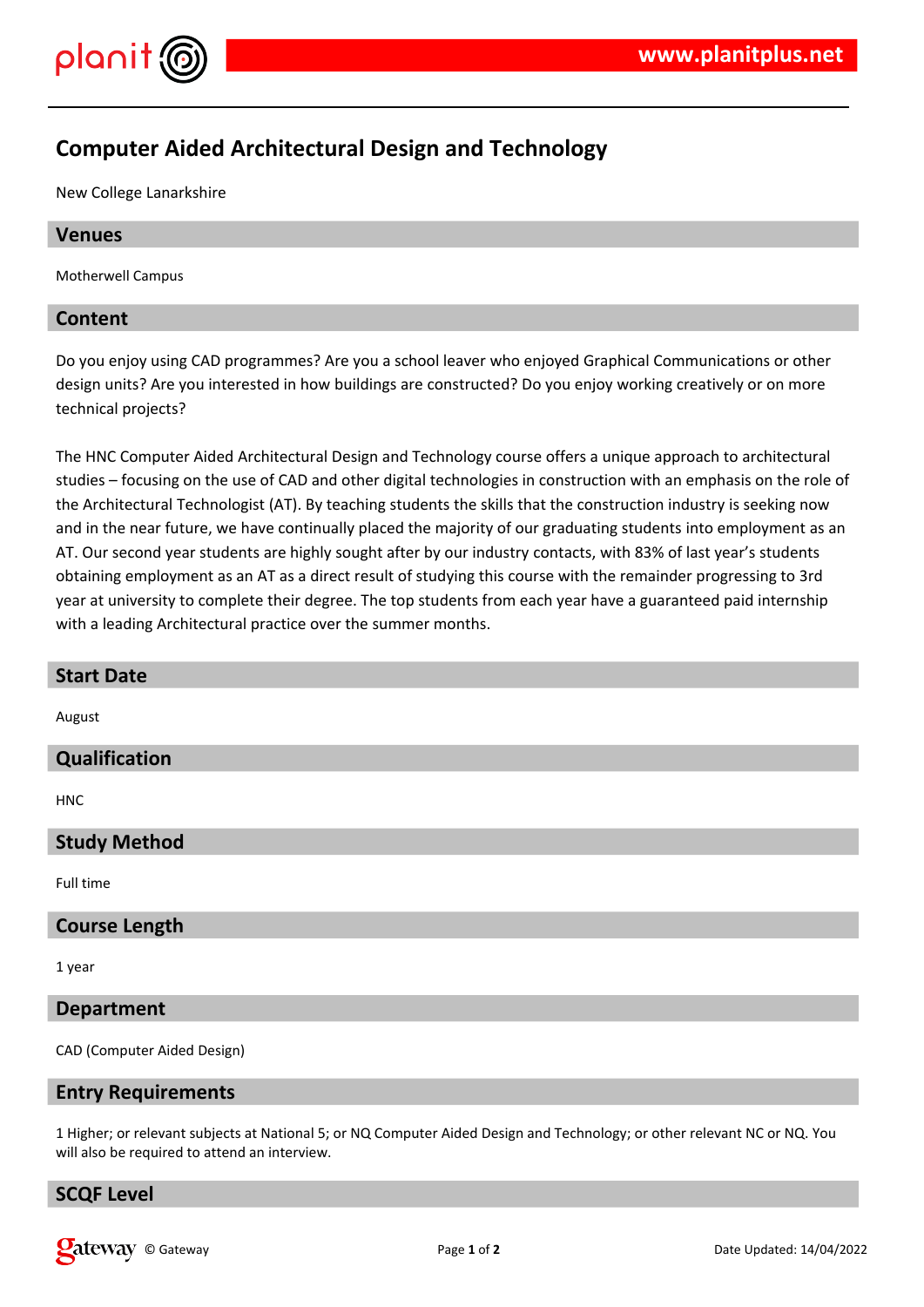

# **Computer Aided Architectural Design and Technology**

New College Lanarkshire

### **Venues**

Motherwell Campus

# **Content**

Do you enjoy using CAD programmes? Are you a school leaver who enjoyed Graphical Communications or other design units? Are you interested in how buildings are constructed? Do you enjoy working creatively or on more technical projects?

The HNC Computer Aided Architectural Design and Technology course offers a unique approach to architectural studies – focusing on the use of CAD and other digital technologies in construction with an emphasis on the role of the Architectural Technologist (AT). By teaching students the skills that the construction industry is seeking now and in the near future, we have continually placed the majority of our graduating students into employment as an AT. Our second year students are highly sought after by our industry contacts, with 83% of last year's students obtaining employment as an AT as a direct result of studying this course with the remainder progressing to 3rd year at university to complete their degree. The top students from each year have a guaranteed paid internship with a leading Architectural practice over the summer months.

| <b>Start Date</b>           |
|-----------------------------|
| August                      |
|                             |
| Qualification               |
|                             |
| <b>HNC</b>                  |
|                             |
| <b>Study Method</b>         |
|                             |
| Full time                   |
|                             |
| <b>Course Length</b>        |
|                             |
| 1 year                      |
|                             |
| <b>Department</b>           |
|                             |
| CAD (Computer Aided Design) |

### **Entry Requirements**

1 Higher; or relevant subjects at National 5; or NQ Computer Aided Design and Technology; or other relevant NC or NQ. You will also be required to attend an interview.

### **SCQF Level**